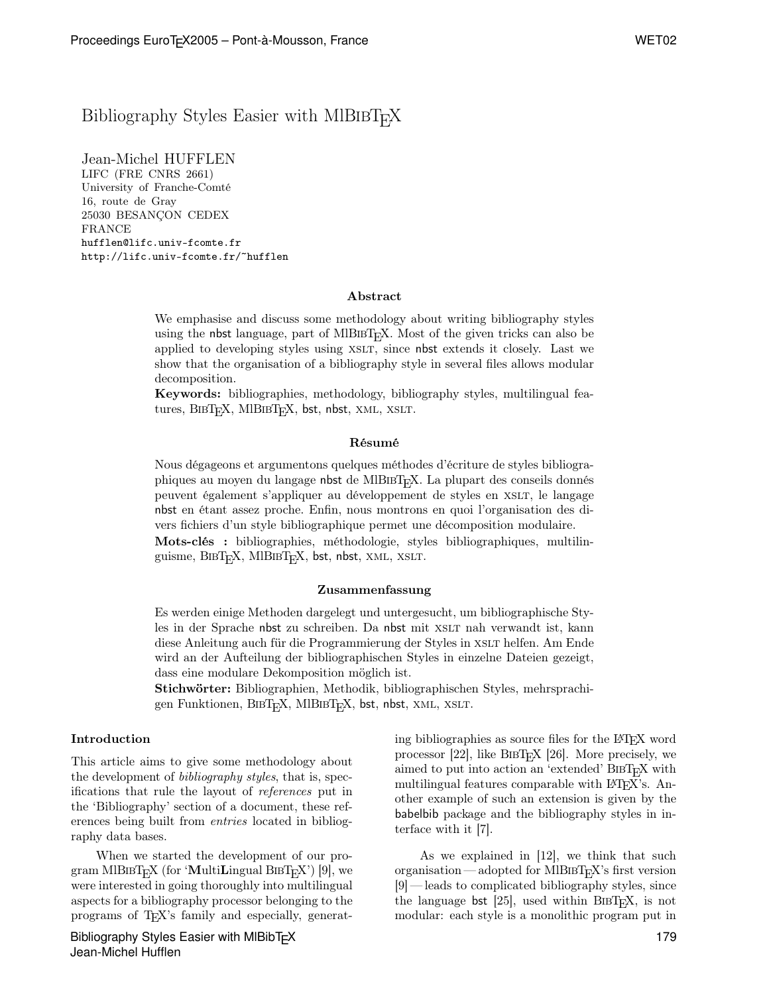# Bibliography Styles Easier with MIBIBT<sub>E</sub>X

Jean-Michel HUFFLEN LIFC (FRE CNRS 2661) University of Franche-Comté 16, route de Gray 25030 BESANÇON CEDEX FRANCE hufflen@lifc.univ-fcomte.fr http://lifc.univ-fcomte.fr/~hufflen

### Abstract

We emphasise and discuss some methodology about writing bibliography styles using the nbst language, part of MlB $B$ <sub>EX</sub>. Most of the given tricks can also be applied to developing styles using xslt, since nbst extends it closely. Last we show that the organisation of a bibliography style in several files allows modular decomposition.

Keywords: bibliographies, methodology, bibliography styles, multilingual features,  $BIBT<sub>F</sub>X$ ,  $MIBIBT<sub>F</sub>X$ , bst, nbst,  $XML$ ,  $XSLT$ .

#### Résumé

Nous dégageons et argumentons quelques méthodes d'écriture de styles bibliographiques au moyen du langage nbst de MlBibTEX. La plupart des conseils donnés peuvent également s'appliquer au développement de styles en xslt, le langage nbst en étant assez proche. Enfin, nous montrons en quoi l'organisation des divers fichiers d'un style bibliographique permet une décomposition modulaire. Mots-clés : bibliographies, méthodologie, styles bibliographiques, multilinguisme, BIBT<sub>E</sub>X, MIBIBT<sub>E</sub>X, bst, nbst, XML, XSLT.

### Zusammenfassung

Es werden einige Methoden dargelegt und untergesucht, um bibliographische Styles in der Sprache nbst zu schreiben. Da nbst mit XSLT nah verwandt ist, kann diese Anleitung auch für die Programmierung der Styles in XSLT helfen. Am Ende wird an der Aufteilung der bibliographischen Styles in einzelne Dateien gezeigt, dass eine modulare Dekomposition möglich ist.

Stichwörter: Bibliographien, Methodik, bibliographischen Styles, mehrsprachigen Funktionen, BIBT<sub>E</sub>X, MIBIBT<sub>E</sub>X, bst, nbst, XML, XSLT.

### Introduction

This article aims to give some methodology about the development of bibliography styles, that is, specifications that rule the layout of references put in the 'Bibliography' section of a document, these references being built from entries located in bibliography data bases.

When we started the development of our program MIBIBT<sub>E</sub>X (for 'MultiLingual BIBT<sub>E</sub>X') [9], we were interested in going thoroughly into multilingual aspects for a bibliography processor belonging to the programs of TEX's family and especially, generat-

Bibliography Styles Easier with MIBibT<sub>F</sub>X Jean-Michel Hufflen

ing bibliographies as source files for the LATEX word processor [22], like  $BIBT_FX$  [26]. More precisely, we aimed to put into action an 'extended' BIBT<sub>E</sub>X with multilingual features comparable with LAT<sub>EX</sub>'s. Another example of such an extension is given by the babelbib package and the bibliography styles in interface with it [7].

As we explained in [12], we think that such organisation — adopted for MIBIBT<sub>E</sub>X's first version [9]— leads to complicated bibliography styles, since the language bst [25], used within BIBT<sub>E</sub>X, is not modular: each style is a monolithic program put in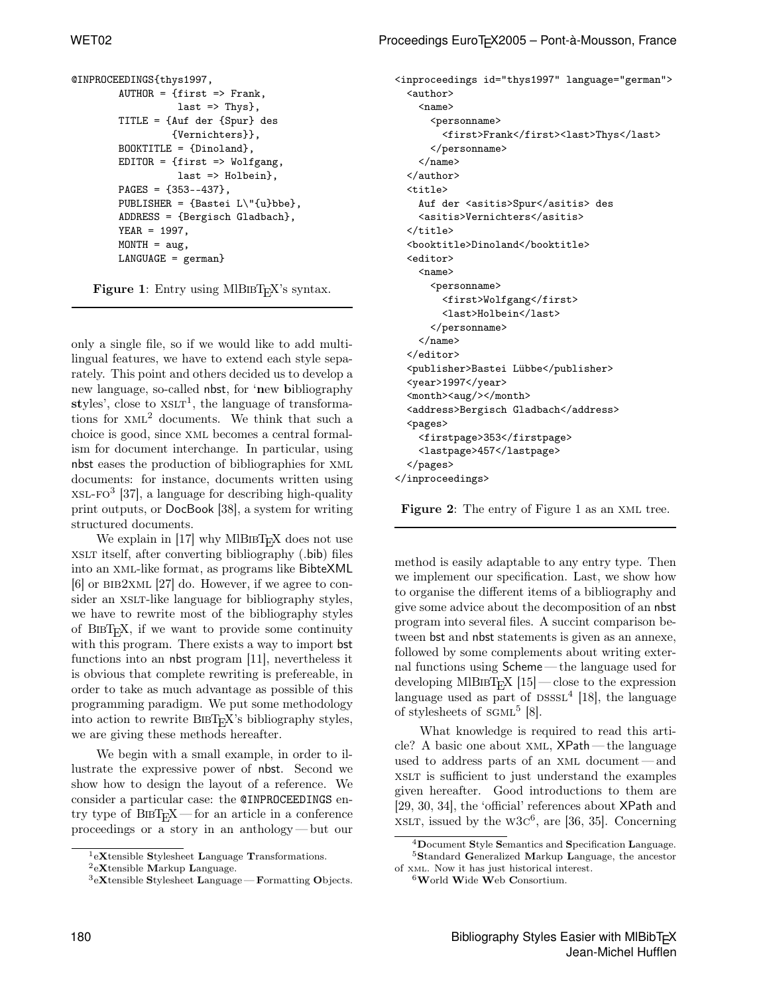```
@INPROCEEDINGS{thys1997,
        AUTHOR = {first \Rightarrow Frank,last \Rightarrow Thys\},
        TITLE = {Auf der {Spur} des
                  {Vernichters}},
        B00KTITLE = {Dinoland}.EDITOR = ffirst \Rightarrow Wolfgang,last => Holbein},
        PAGES = {353--437},
        PUBLISHER = {Bastei L\"{u}bbe},
        ADDRESS = {Bergisch Gladbach},
        YEAR = 1997,MONTH = aug,LANGUAGE = german}
```
Figure 1: Entry using MIBIBT<sub>E</sub>X's syntax.

only a single file, so if we would like to add multilingual features, we have to extend each style separately. This point and others decided us to develop a new language, so-called nbst, for 'new bibliography styles', close to  $XSLT<sup>1</sup>$ , the language of transformations for xml<sup>2</sup> documents. We think that such a choice is good, since xml becomes a central formalism for document interchange. In particular, using nbst eases the production of bibliographies for xml documents: for instance, documents written using  $XSL-FO<sup>3</sup>$  [37], a language for describing high-quality print outputs, or DocBook [38], a system for writing structured documents.

We explain in [17] why MIBIBT<sub>E</sub>X does not use xslt itself, after converting bibliography (.bib) files into an xml-like format, as programs like BibteXML  $[6]$  or BIB2XML  $[27]$  do. However, if we agree to consider an XSLT-like language for bibliography styles, we have to rewrite most of the bibliography styles of BibTEX, if we want to provide some continuity with this program. There exists a way to import bst functions into an nbst program [11], nevertheless it is obvious that complete rewriting is prefereable, in order to take as much advantage as possible of this programming paradigm. We put some methodology into action to rewrite  $BIBT<sub>F</sub>X$ 's bibliography styles, we are giving these methods hereafter.

We begin with a small example, in order to illustrate the expressive power of nbst. Second we show how to design the layout of a reference. We consider a particular case: the @INPROCEEDINGS entry type of  $BIBT_FX$ — for an article in a conference proceedings or a story in an anthology— but our

 $\rm ^1eX$ tensible Stylesheet Language Transformations.

<inproceedings id="thys1997" language="german"> <author>  $<sub>name</sub>$ </sub> <personname> <first>Frank</first><last>Thys</last> </personname>  $\langle$ /name $\rangle$ </author> <title> Auf der <asitis>Spur</asitis> des <asitis>Vernichters</asitis>  $\langle$ title> <booktitle>Dinoland</booktitle> <editor>  $<$ name $>$ <personname> <first>Wolfgang</first> <last>Holbein</last> </personname>  $\langle$ /name $\rangle$ </editor> <publisher>Bastei Lübbe</publisher> <year>1997</year> <month><aug/>></month> <address>Bergisch Gladbach</address> <pages> <firstpage>353</firstpage> <lastpage>457</lastpage> </pages> </inproceedings>

Figure 2: The entry of Figure 1 as an XML tree.

method is easily adaptable to any entry type. Then we implement our specification. Last, we show how to organise the different items of a bibliography and give some advice about the decomposition of an nbst program into several files. A succint comparison between bst and nbst statements is given as an annexe, followed by some complements about writing external functions using Scheme — the language used for developing MlBIBT<sub>E</sub>X  $[15]$  — close to the expression language used as part of  $DSSSL<sup>4</sup>$  [18], the language of stylesheets of  $SGML<sup>5</sup>$  [8].

What knowledge is required to read this article? A basic one about xml, XPath— the language used to address parts of an xml document— and xslt is sufficient to just understand the examples given hereafter. Good introductions to them are [29, 30, 34], the 'official' references about XPath and  $XSLT$ , issued by the  $W3C^6$ , are [36, 35]. Concerning

 ${}^{2}$ eXtensible Markup Language.

 $3eX$ tensible Stylesheet Language — Formatting Objects.

<sup>4</sup>Document Style Semantics and Specification Language. <sup>5</sup>Standard Generalized Markup Language, the ancestor of xml. Now it has just historical interest.

 $6$ World Wide Web Consortium.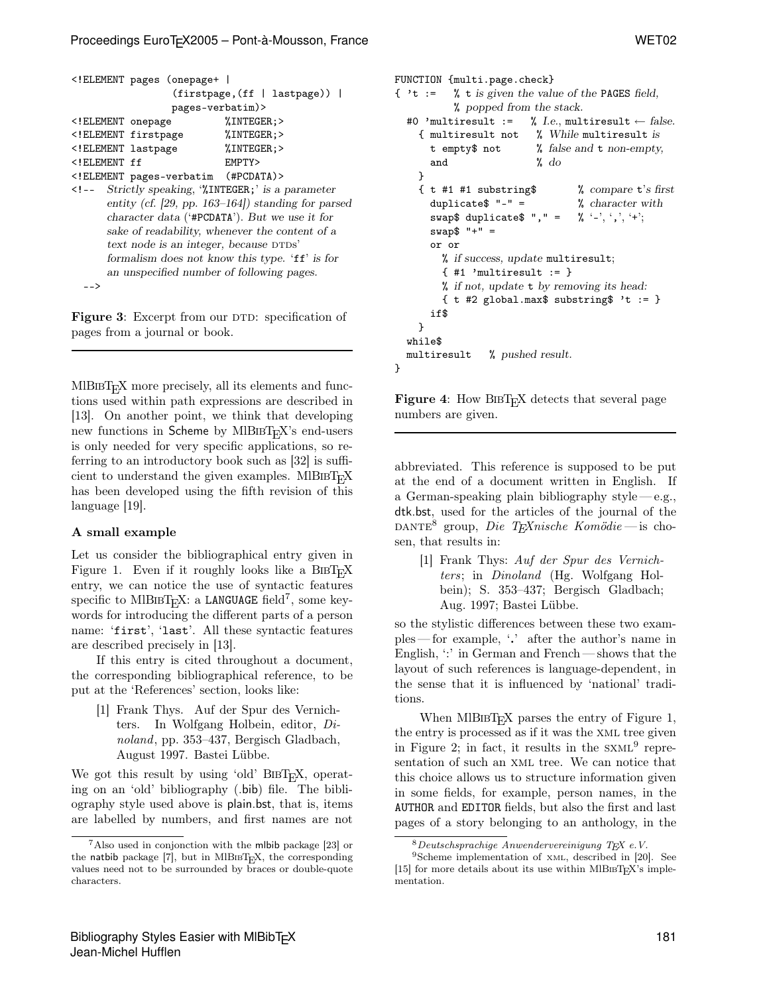```
<!ELEMENT pages (onepage+ |
               (firstpage,(ff | lastpage)) |
               pages-verbatim)>
<!ELEMENT onepage %INTEGER;>
<!ELEMENT firstpage %INTEGER;>
<!ELEMENT lastpage %INTEGER;>
<!ELEMENT ff EMPTY>
<!ELEMENT pages-verbatim (#PCDATA)>
<!-- Strictly speaking, '%INTEGER;' is a parameter
```
entity (cf. [29, pp. 163–164]) standing for parsed character data ('#PCDATA'). But we use it for sake of readability, whenever the content of a  $text$  node is an integer, because  $DTDS'$ formalism does not know this type. 'ff' is for an unspecified number of following pages. -->

Figure 3: Excerpt from our DTD: specification of pages from a journal or book.

 $MIBIBT<sub>F</sub>X$  more precisely, all its elements and functions used within path expressions are described in [13]. On another point, we think that developing new functions in Scheme by  $MIBIBT<sub>F</sub>X$ 's end-users is only needed for very specific applications, so referring to an introductory book such as [32] is sufficient to understand the given examples. MIBIBT<sub>E</sub>X has been developed using the fifth revision of this language [19].

## A small example

Let us consider the bibliographical entry given in Figure 1. Even if it roughly looks like a  $BIBT_FX$ entry, we can notice the use of syntactic features specific to MIBIBT<sub>E</sub>X: a LANGUAGE field<sup>7</sup>, some keywords for introducing the different parts of a person name: 'first', 'last'. All these syntactic features are described precisely in [13].

If this entry is cited throughout a document, the corresponding bibliographical reference, to be put at the 'References' section, looks like:

[1] Frank Thys. Auf der Spur des Vernichters. In Wolfgang Holbein, editor, Dinoland, pp. 353–437, Bergisch Gladbach, August 1997. Bastei Lübbe.

We got this result by using 'old'  $BIBT<sub>E</sub>X$ , operating on an 'old' bibliography (.bib) file. The bibliography style used above is plain.bst, that is, items are labelled by numbers, and first names are not

```
FUNCTION {multi.page.check}
{ 't := % t is given the value of the PAGES field,
           % popped from the stack.
  #0 'multiresult := % I.e., multiresult \leftarrow false.
    { multiresult not % While multiresult is
      t empty$ not % false and t non-empty,
      and \% do
    }
    \{ t \#1 \#1 \text{ substring}\}\ % compare t's first
      duplicate$ " -" = % character with
      swap$ duplicate$ ", " = \% '-', ',', '+';
      swap<sup>"</sup> " =
      or or
        % if success, update multiresult;
        \{ #1 \text{ 'multiresult } : = \}% if not, update t by removing its head:
        \{t \neq 2 \text{ global.max$ substrings } 't := \}if$
    }
  while$
  multiresult % pushed result.
}
```
**Figure 4:** How BIBT<sub>E</sub>X detects that several page numbers are given.

abbreviated. This reference is supposed to be put at the end of a document written in English. If a German-speaking plain bibliography style  $-e.g.,$ dtk.bst, used for the articles of the journal of the DANTE<sup>8</sup> group, Die T<sub>E</sub>Xnische Komödie — is chosen, that results in:

[1] Frank Thys: Auf der Spur des Vernichters; in Dinoland (Hg. Wolfgang Holbein); S. 353–437; Bergisch Gladbach; Aug. 1997; Bastei Lübbe.

so the stylistic differences between these two examples — for example, '.' after the author's name in English,  $\therefore$  in German and French — shows that the layout of such references is language-dependent, in the sense that it is influenced by 'national' traditions.

When MIBIBT<sub>E</sub>X parses the entry of Figure 1, the entry is processed as if it was the xml tree given in Figure 2; in fact, it results in the  $SXML<sup>9</sup>$  representation of such an xml tree. We can notice that this choice allows us to structure information given in some fields, for example, person names, in the AUTHOR and EDITOR fields, but also the first and last pages of a story belonging to an anthology, in the

<sup>7</sup>Also used in conjonction with the mlbib package [23] or the natbib package  $[7]$ , but in MlBIBT<sub>E</sub>X, the corresponding values need not to be surrounded by braces or double-quote characters.

 $8$ Deutschsprachige Anwendervereinigung TEX e.V. 9Scheme implementation of xmL, described in [20]. See [15] for more details about its use within MlB $BIF$ <sup>X</sup>'s implementation.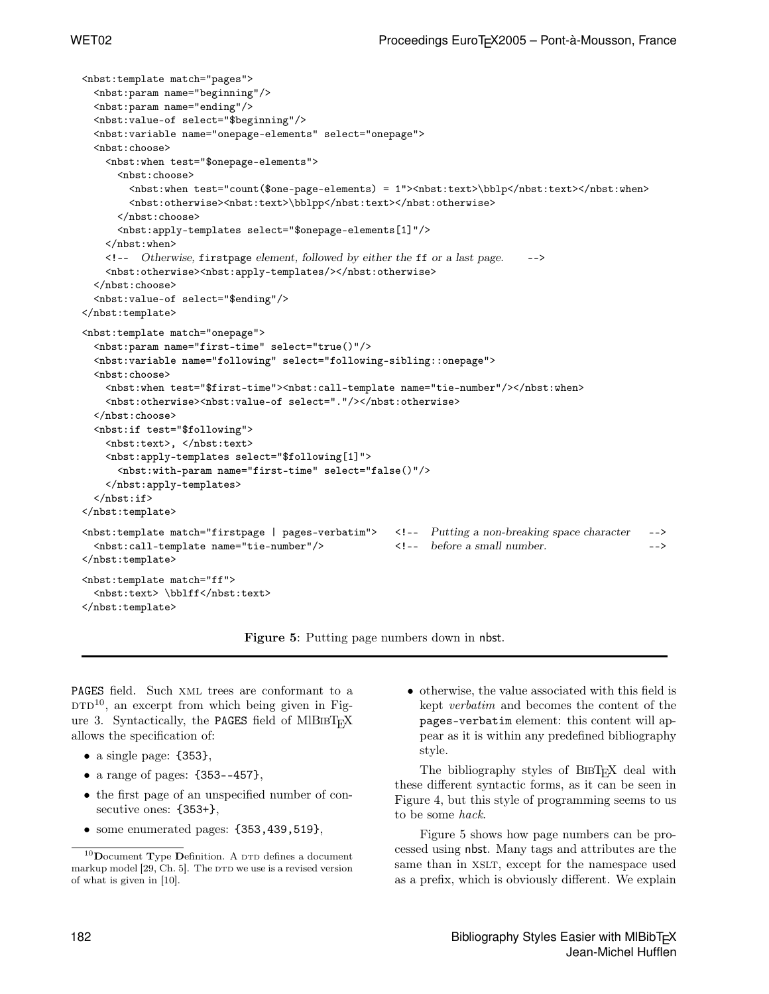```
<nbst:template match="pages">
  <nbst:param name="beginning"/>
 <nbst:param name="ending"/>
 <nbst:value-of select="$beginning"/>
 <nbst:variable name="onepage-elements" select="onepage">
 <nbst:choose>
   <nbst:when test="$onepage-elements">
     <nbst:choose>
       <nbst:when test="count($one-page-elements) = 1"><nbst:text>\bblp</nbst:text></nbst:when>
       <nbst:otherwise><nbst:text>\bblpp</nbst:text></nbst:otherwise>
     </nbst:choose>
     <nbst:apply-templates select="$onepage-elements[1]"/>
   </nbst:when>
   \leq -- Otherwise, firstpage element, followed by either the ff or a last page. -->
   <nbst:otherwise><nbst:apply-templates/></nbst:otherwise>
 </nbst:choose>
  <nbst:value-of select="$ending"/>
</nbst:template>
<nbst:template match="onepage">
 <nbst:param name="first-time" select="true()"/>
 <nbst:variable name="following" select="following-sibling::onepage">
 <nbst:choose>
   <nbst:when test="$first-time"><nbst:call-template name="tie-number"/></nbst:when>
   <nbst:otherwise><nbst:value-of select="."/></nbst:otherwise>
 </nbst:choose>
  <nbst:if test="$following">
   <nbst:text>, </nbst:text>
   <nbst:apply-templates select="$following[1]">
     <nbst:with-param name="first-time" select="false()"/>
   </nbst:apply-templates>
 \langlenbst:if>
</nbst:template>
<nbst:template match="firstpage | pages-verbatim"> <!-- Putting a non-breaking space character -->
 <nbst:call-template name="tie-number"/> <!-- before a small number. -->
</nbst:template>
<nbst:template match="ff">
 <nbst:text> \bblff</nbst:text>
</nbst:template>
```
Figure 5: Putting page numbers down in nbst.

PAGES field. Such xml trees are conformant to a  $DTD<sup>10</sup>$ , an excerpt from which being given in Figure 3. Syntactically, the PAGES field of MIBIBT<sub>E</sub>X allows the specification of:

- a single page: {353},
- a range of pages:  ${353--457}$ ,
- the first page of an unspecified number of consecutive ones: {353+},
- $\bullet\,$  some enumerated pages:  $\{353,439,519\},$

• otherwise, the value associated with this field is kept verbatim and becomes the content of the pages-verbatim element: this content will appear as it is within any predefined bibliography style.

The bibliography styles of BIBT<sub>E</sub>X deal with these different syntactic forms, as it can be seen in Figure 4, but this style of programming seems to us to be some hack.

Figure 5 shows how page numbers can be processed using nbst. Many tags and attributes are the same than in XSLT, except for the namespace used as a prefix, which is obviously different. We explain

 $10$ Document Type Definition. A  $DTD$  defines a document markup model  $[29, Ch. 5]$ . The  $DTD$  we use is a revised version of what is given in [10].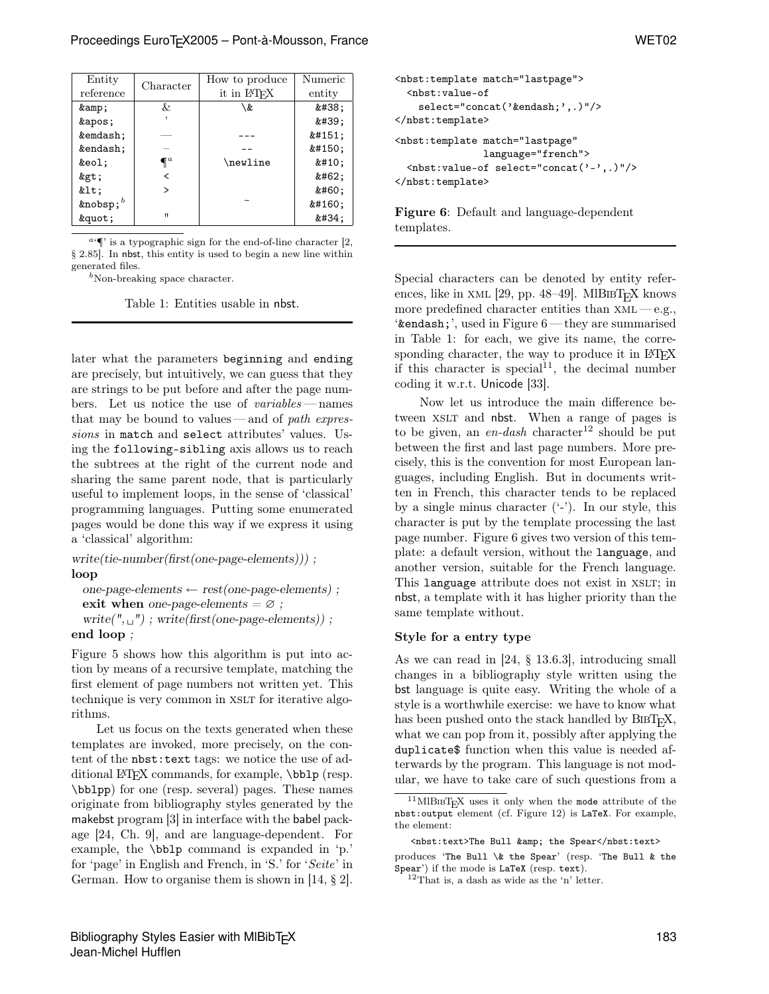| Entity      | Character    | How to produce           | Numeric   |
|-------------|--------------|--------------------------|-----------|
| reference   |              | it in L <sup>AT</sup> FX | entity    |
| &           | &            | \&                       | &         |
| '           |              |                          | '         |
| &emdash     |              |                          | & 4151;   |
| &endash     |              |                          | $k#150$ ; |
| &eol:       | $\P^a$       | \newline                 | $k#10$ ;  |
| >           |              |                          | >         |
| <           | ゝ            |                          | <         |
| &nobsp $^b$ |              |                          | $k#160$ ; |
| "           | $\mathbf{u}$ |                          | "         |

 $a \in \mathbb{I}$  is a typographic sign for the end-of-line character [2, § 2.85]. In nbst, this entity is used to begin a new line within generated files.

 $b$ Non-breaking space character.

Table 1: Entities usable in nbst.

later what the parameters beginning and ending are precisely, but intuitively, we can guess that they are strings to be put before and after the page numbers. Let us notice the use of variables — names that may be bound to values—and of path expressions in match and select attributes' values. Using the following-sibling axis allows us to reach the subtrees at the right of the current node and sharing the same parent node, that is particularly useful to implement loops, in the sense of 'classical' programming languages. Putting some enumerated pages would be done this way if we express it using a 'classical' algorithm:

write(tie-number(first(one-page-elements))) ; loop

one-page-elements  $\leftarrow$  rest(one-page-elements); exit when one-page-elements =  $\varnothing$ ; write( $", \_ \_ \prime$ ); write(first(one-page-elements)); end loop ;

Figure 5 shows how this algorithm is put into action by means of a recursive template, matching the first element of page numbers not written yet. This technique is very common in XSLT for iterative algorithms.

Let us focus on the texts generated when these templates are invoked, more precisely, on the content of the nbst:text tags: we notice the use of additional LAT<sub>F</sub>X commands, for example, \bblp (resp. \bblpp) for one (resp. several) pages. These names originate from bibliography styles generated by the makebst program [3] in interface with the babel package [24, Ch. 9], and are language-dependent. For example, the \bblp command is expanded in 'p.' for 'page' in English and French, in 'S.' for 'Seite' in German. How to organise them is shown in [14, § 2].

```
<nbst:template match="lastpage">
  <nbst:value-of
    select="concat('&endash;',.)"/>
</nbst:template>
<nbst:template match="lastpage"
                language="french">
  \langlenbst:value-of select="concat(2 - 7, 1)"/>
</nbst:template>
```
Figure 6: Default and language-dependent templates.

Special characters can be denoted by entity references, like in XML [29, pp. 48–49]. MIBIBT<sub>F</sub>X knows more predefined character entities than  $xML - e.g.,$ '&endash;', used in Figure 6 — they are summarised in Table 1: for each, we give its name, the corresponding character, the way to produce it in LAT<sub>EX</sub> if this character is special<sup>11</sup>, the decimal number coding it w.r.t. Unicode [33].

Now let us introduce the main difference between XSLT and nbst. When a range of pages is to be given, an en-dash character<sup>12</sup> should be put between the first and last page numbers. More precisely, this is the convention for most European languages, including English. But in documents written in French, this character tends to be replaced by a single minus character  $(2)$ . In our style, this character is put by the template processing the last page number. Figure 6 gives two version of this template: a default version, without the language, and another version, suitable for the French language. This language attribute does not exist in XSLT; in nbst, a template with it has higher priority than the same template without.

### Style for a entry type

As we can read in [24, § 13.6.3], introducing small changes in a bibliography style written using the bst language is quite easy. Writing the whole of a style is a worthwhile exercise: we have to know what has been pushed onto the stack handled by  $BIBT_FX$ , what we can pop from it, possibly after applying the duplicate\$ function when this value is needed afterwards by the program. This language is not modular, we have to take care of such questions from a

produces 'The Bull  $\&$  the Spear' (resp. 'The Bull  $\&$  the Spear') if the mode is LaTeX (resp. text).

 $11$ MlBIBT<sub>E</sub>X uses it only when the mode attribute of the nbst:output element (cf. Figure 12) is LaTeX. For example, the element:

<sup>&</sup>lt;nbst:text>The Bull &amp; the Spear</nbst:text>

 $^{12}\mathrm{That}$  is, a dash as wide as the 'n' letter.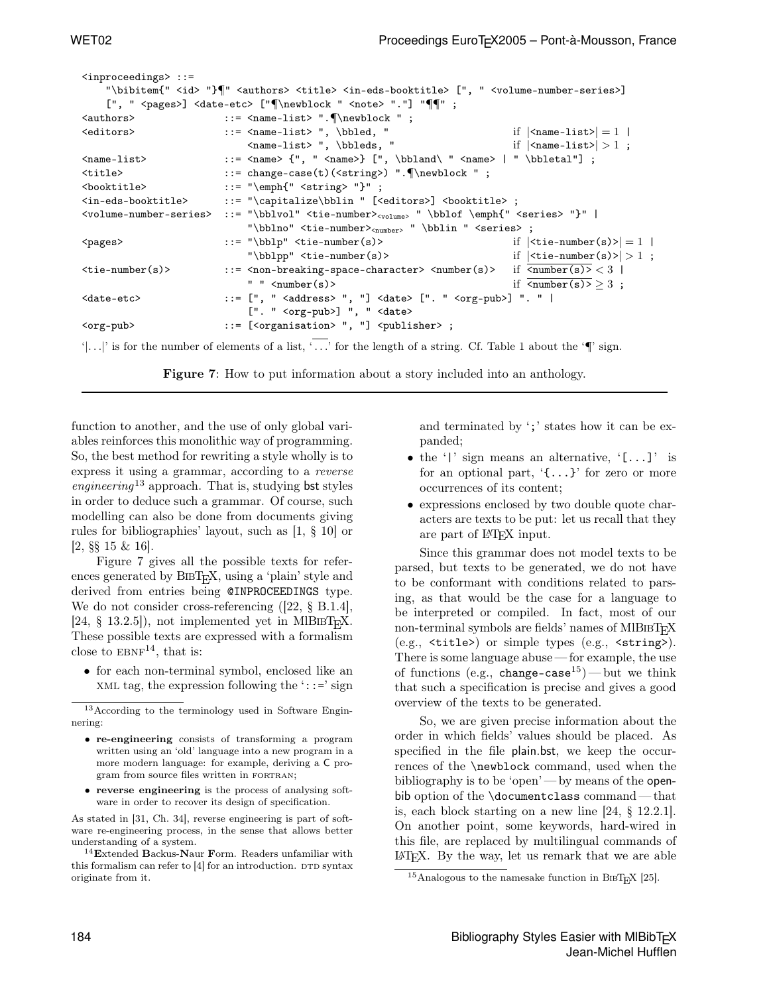```
<inproceedings> ::=
     "\bibitem{" <id> "}\" <authors> <title> <in-eds-booktitle> [", " <volume-number-series>]
     [", " <pages>] <date-etc> ["¶\newblock " <note> "."] "¶¶" ;
\langle <authors> ::= \langle = \langle = \rangle : \langle = \langle + \rangle + \langle = \langle + \rangle + \langle + \rangle + \langle + \rangle + \langle + \rangle + \langle + \rangle + \langle + \rangle + \langle + \rangle + \langle + \rangle + \langle + \rangle + \langle + \rangle + \langle + \rangle +
\left\{\text{calors}\right\} = \frac{1 \text{ st}}{1} :: < \text{name-list} = 1 |
                                      \verb|<name-list>|, \verb|\bleds|, " if \verb|<name-list>| > 1 ;<name-list> ::= <name> {", " <name>} [", \bbland\ " <name> | " \bbletal"] ;
<title> ::= change-case(t)(<string>) ".¶\newblock " ;
\> ::= "\emph{" <string> "}" ;
<in-eds-booktitle> ::= "\capitalize\bblin " [<editors>] <booktitle> ;
<volume-number-series> ::= "\bblvol" <tie-number><volume> " \bblof \emph{" <series> "}" |
                                      "\bblno" <tie-number><sub><number></sub> " \bblin " <series> ;
\langle \text{pages} \rangle ::= "\bblp" <tie-number(s)> if |\langle \text{tie-number}(s) \rangle| = 1 |
                                      "\bblpp" <tie-number(s)> if |\langletie-number(s)>| > 1;
\text{time-number}(s) ::= \text{time-} \text{time-} \text{time-} \text{time-} \text{time-} \text{time-} \text{time-} \text{time-} \text{time-} \text{time-} \text{time-} \text{time-} \text{time-} \text{time-} \text{time-} \text{time-} \text{time-} \text{time-} \text{time-} \text{time-} \text{time-} \text{time-} \text{time-}" " \langlenumber(s)> if \langlenumber(s)> \geq 3;
\langle \text{date-etc}\rangle ::= [", " \langle \text{address}\rangle ", "] \langle \text{date}\rangle [". " \langle \text{org-pub}\rangle] ". " |
                                      [". " <org-pub>] ", " <date>
<org-pub> ::= [<organisation> ", "] <publisher> ;
```
'|...|' is for the number of elements of a list,  $\overline{\cdots}$  for the length of a string. Cf. Table 1 about the ' $\P$ ' sign.

Figure 7: How to put information about a story included into an anthology.

function to another, and the use of only global variables reinforces this monolithic way of programming. So, the best method for rewriting a style wholly is to express it using a grammar, according to a reverse engineering<sup>13</sup> approach. That is, studying bst styles in order to deduce such a grammar. Of course, such modelling can also be done from documents giving rules for bibliographies' layout, such as [1, § 10] or [2, §§ 15 & 16].

Figure 7 gives all the possible texts for references generated by BIBT<sub>E</sub>X, using a 'plain' style and derived from entries being @INPROCEEDINGS type. We do not consider cross-referencing ([22, § B.1.4], [24, § 13.2.5]), not implemented yet in MlBIBT<sub>E</sub>X. These possible texts are expressed with a formalism close to  $EBNF^{14}$ , that is:

• for each non-terminal symbol, enclosed like an XML tag, the expression following the  $\cdot$ : :=' sign

- re-engineering consists of transforming a program written using an 'old' language into a new program in a more modern language: for example, deriving a C program from source files written in FORTRAN;
- reverse engineering is the process of analysing software in order to recover its design of specification.

As stated in [31, Ch. 34], reverse engineering is part of software re-engineering process, in the sense that allows better understanding of a system.

 $^{14}\mathbf{Extended}$  Backus-Naur Form. Readers unfamiliar with this formalism can refer to  $[4]$  for an introduction. DTD syntax originate from it.

and terminated by ';' states how it can be expanded;

- the '|' sign means an alternative,  $(L...)$ ' is for an optional part, '{...}' for zero or more occurrences of its content;
- expressions enclosed by two double quote characters are texts to be put: let us recall that they are part of L<sup>AT</sup>FX input.

Since this grammar does not model texts to be parsed, but texts to be generated, we do not have to be conformant with conditions related to parsing, as that would be the case for a language to be interpreted or compiled. In fact, most of our non-terminal symbols are fields' names of  $MIBIBT<sub>F</sub>X$ (e.g., <title>) or simple types (e.g., <string>). There is some language abuse — for example, the use of functions (e.g., change-case<sup>15</sup>)—but we think that such a specification is precise and gives a good overview of the texts to be generated.

So, we are given precise information about the order in which fields' values should be placed. As specified in the file plain.bst, we keep the occurrences of the \newblock command, used when the bibliography is to be 'open' — by means of the openbib option of the \documentclass command — that is, each block starting on a new line [24, § 12.2.1]. On another point, some keywords, hard-wired in this file, are replaced by multilingual commands of LATEX. By the way, let us remark that we are able

<sup>13</sup>According to the terminology used in Software Enginnering:

<sup>&</sup>lt;sup>15</sup>Analogous to the namesake function in Bi $F$ <sub>E</sub>X [25].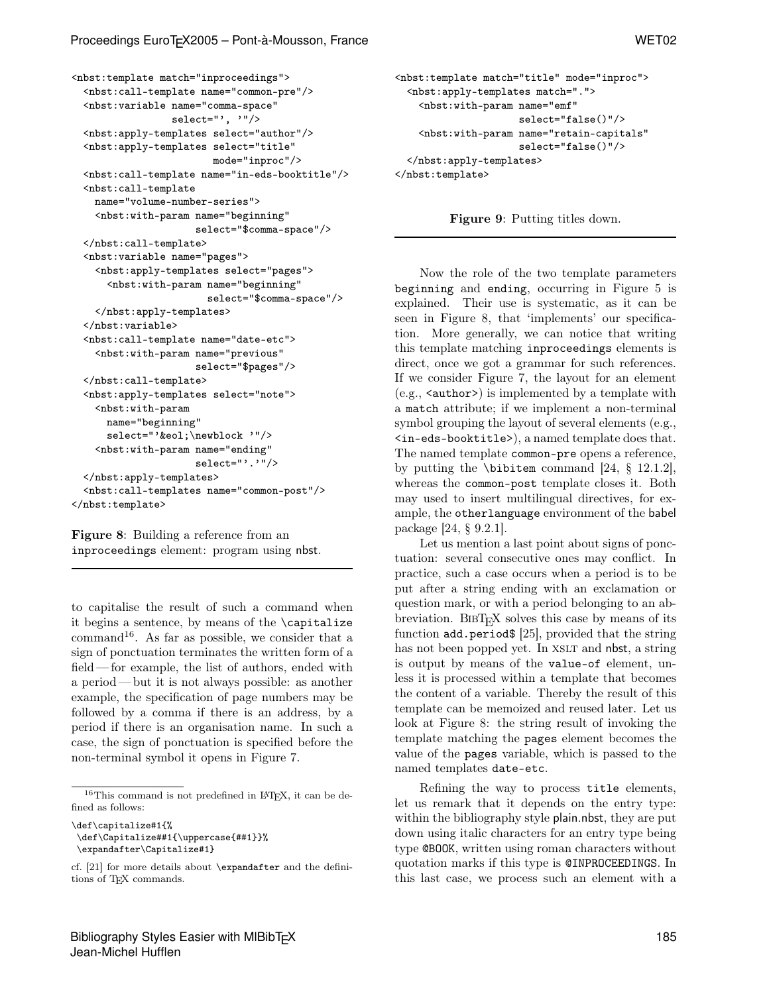```
<nbst:template match="inproceedings">
 <nbst:call-template name="common-pre"/>
 <nbst:variable name="comma-space"
                 select="', '"/>
 <nbst:apply-templates select="author"/>
 <nbst:apply-templates select="title"
                        mode="inproc"/>
 <nbst:call-template name="in-eds-booktitle"/>
 <nbst:call-template
   name="volume-number-series">
   <nbst:with-param name="beginning"
                     select="$comma-space"/>
 </nbst:call-template>
 <nbst:variable name="pages">
   <nbst:apply-templates select="pages">
      <nbst:with-param name="beginning"
                       select="$comma-space"/>
   </nbst:apply-templates>
 </nbst:variable>
 <nbst:call-template name="date-etc">
   <nbst:with-param name="previous"
                     select="$pages"/>
 </nbst:call-template>
 <nbst:apply-templates select="note">
   <nbst:with-param
     name="beginning"
      select="'&eol;\newblock '"/>
   <nbst:with-param name="ending"
                     select="'.'"/>
 </nbst:apply-templates>
 <nbst:call-templates name="common-post"/>
</nbst:template>
```
Figure 8: Building a reference from an inproceedings element: program using nbst.

to capitalise the result of such a command when it begins a sentence, by means of the \capitalize command<sup>16</sup>. As far as possible, we consider that a sign of ponctuation terminates the written form of a field — for example, the list of authors, ended with a period — but it is not always possible: as another example, the specification of page numbers may be followed by a comma if there is an address, by a period if there is an organisation name. In such a case, the sign of ponctuation is specified before the non-terminal symbol it opens in Figure 7.

```
<nbst:template match="title" mode="inproc">
  <nbst:apply-templates match=".">
    <nbst:with-param name="emf"
                     select="false()"/>
    <nbst:with-param name="retain-capitals"
                     select="false()"/>
  </nbst:apply-templates>
</nbst:template>
```
Figure 9: Putting titles down.

Now the role of the two template parameters beginning and ending, occurring in Figure 5 is explained. Their use is systematic, as it can be seen in Figure 8, that 'implements' our specification. More generally, we can notice that writing this template matching inproceedings elements is direct, once we got a grammar for such references. If we consider Figure 7, the layout for an element  $(e.g., \langle \text{author} \rangle)$  is implemented by a template with a match attribute; if we implement a non-terminal symbol grouping the layout of several elements (e.g., <in-eds-booktitle>), a named template does that. The named template common-pre opens a reference, by putting the \bibitem command [24, § 12.1.2], whereas the common-post template closes it. Both may used to insert multilingual directives, for example, the otherlanguage environment of the babel package [24, § 9.2.1].

Let us mention a last point about signs of ponctuation: several consecutive ones may conflict. In practice, such a case occurs when a period is to be put after a string ending with an exclamation or question mark, or with a period belonging to an abbreviation. BIBT<sub>E</sub>X solves this case by means of its function add.period\$ [25], provided that the string has not been popped yet. In XSLT and nbst, a string is output by means of the value-of element, unless it is processed within a template that becomes the content of a variable. Thereby the result of this template can be memoized and reused later. Let us look at Figure 8: the string result of invoking the template matching the pages element becomes the value of the pages variable, which is passed to the named templates date-etc.

Refining the way to process title elements, let us remark that it depends on the entry type: within the bibliography style plain.nbst, they are put down using italic characters for an entry type being type @BOOK, written using roman characters without quotation marks if this type is @INPROCEEDINGS. In this last case, we process such an element with a

 $^{16}\mathrm{This}$  command is not predefined in IATEX, it can be defined as follows:

<sup>\</sup>def\capitalize#1{%

<sup>\</sup>def\Capitalize##1{\uppercase{##1}}% \expandafter\Capitalize#1}

cf. [21] for more details about \expandafter and the definitions of T<sub>E</sub>X commands.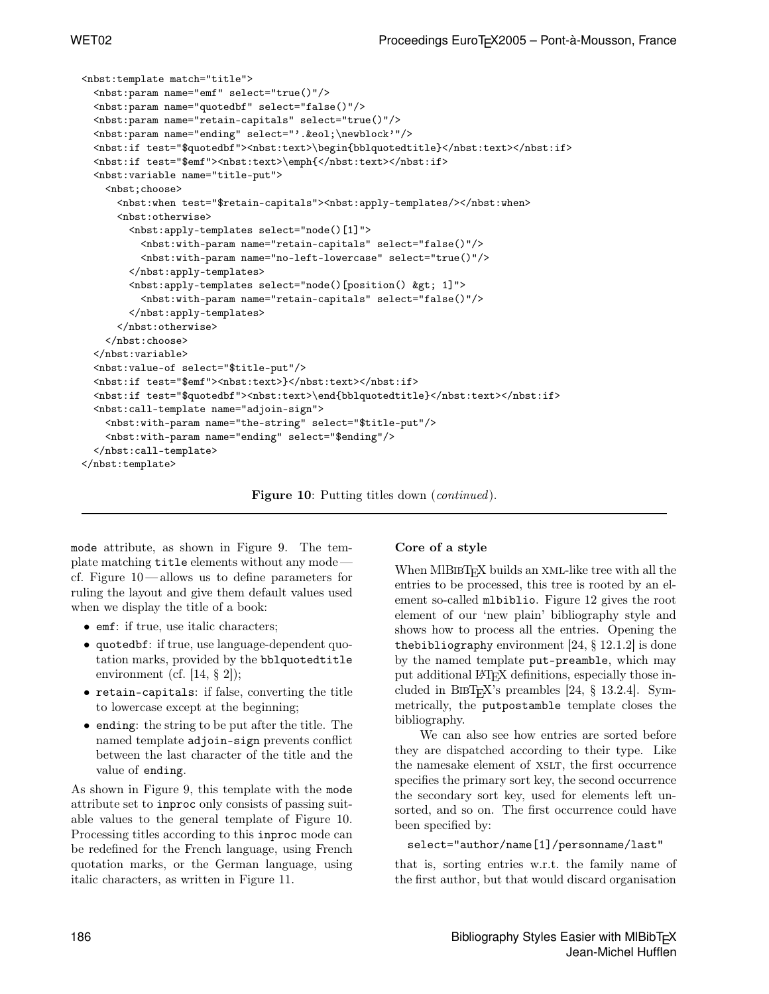```
<nbst:template match="title">
 <nbst:param name="emf" select="true()"/>
 <nbst:param name="quotedbf" select="false()"/>
 <nbst:param name="retain-capitals" select="true()"/>
 <nbst:param name="ending" select="'.&eol;\newblock'"/>
 <nbst:if test="$quotedbf"><nbst:text>\begin{bblquotedtitle}</nbst:text></nbst:if>
 <nbst:if test="$emf"><nbst:text>\emph{</nbst:text></nbst:if>
 <nbst:variable name="title-put">
   <nbst;choose>
     <nbst:when test="$retain-capitals"><nbst:apply-templates/></nbst:when>
     <nbst:otherwise>
       <nbst:apply-templates select="node()[1]">
          <nbst:with-param name="retain-capitals" select="false()"/>
          <nbst:with-param name="no-left-lowercase" select="true()"/>
       </nbst:apply-templates>
       <nbst:apply-templates select="node()[position() &gt; 1]">
          <nbst:with-param name="retain-capitals" select="false()"/>
       </nbst:apply-templates>
     </nbst:otherwise>
   </nbst:choose>
 </nbst:variable>
 <nbst:value-of select="$title-put"/>
 <nbst:if test="$emf"><nbst:text>}</nbst:text></nbst:if>
 <nbst:if test="$quotedbf"><nbst:text>\end{bblquotedtitle}</nbst:text></nbst:if>
 <nbst:call-template name="adjoin-sign">
   <nbst:with-param name="the-string" select="$title-put"/>
   <nbst:with-param name="ending" select="$ending"/>
 </nbst:call-template>
</nbst:template>
```
Figure 10: Putting titles down (*continued*).

mode attribute, as shown in Figure 9. The template matching title elements without any mode cf. Figure 10— allows us to define parameters for ruling the layout and give them default values used when we display the title of a book:

- emf: if true, use italic characters;
- quotedbf: if true, use language-dependent quotation marks, provided by the bblquotedtitle environment (cf. [14, § 2]);
- retain-capitals: if false, converting the title to lowercase except at the beginning;
- ending: the string to be put after the title. The named template adjoin-sign prevents conflict between the last character of the title and the value of ending.

As shown in Figure 9, this template with the mode attribute set to inproc only consists of passing suitable values to the general template of Figure 10. Processing titles according to this inproc mode can be redefined for the French language, using French quotation marks, or the German language, using italic characters, as written in Figure 11.

## Core of a style

When  $MIBIBT<sub>F</sub>X$  builds an XML-like tree with all the entries to be processed, this tree is rooted by an element so-called mlbiblio. Figure 12 gives the root element of our 'new plain' bibliography style and shows how to process all the entries. Opening the the bibliography environment  $[24, § 12.1.2]$  is done by the named template put-preamble, which may put additional LATEX definitions, especially those included in BIBT<sub>E</sub>X's preambles  $[24, § 13.2.4]$ . Symmetrically, the putpostamble template closes the bibliography.

We can also see how entries are sorted before they are dispatched according to their type. Like the namesake element of XSLT, the first occurrence specifies the primary sort key, the second occurrence the secondary sort key, used for elements left unsorted, and so on. The first occurrence could have been specified by:

select="author/name[1]/personname/last"

that is, sorting entries w.r.t. the family name of the first author, but that would discard organisation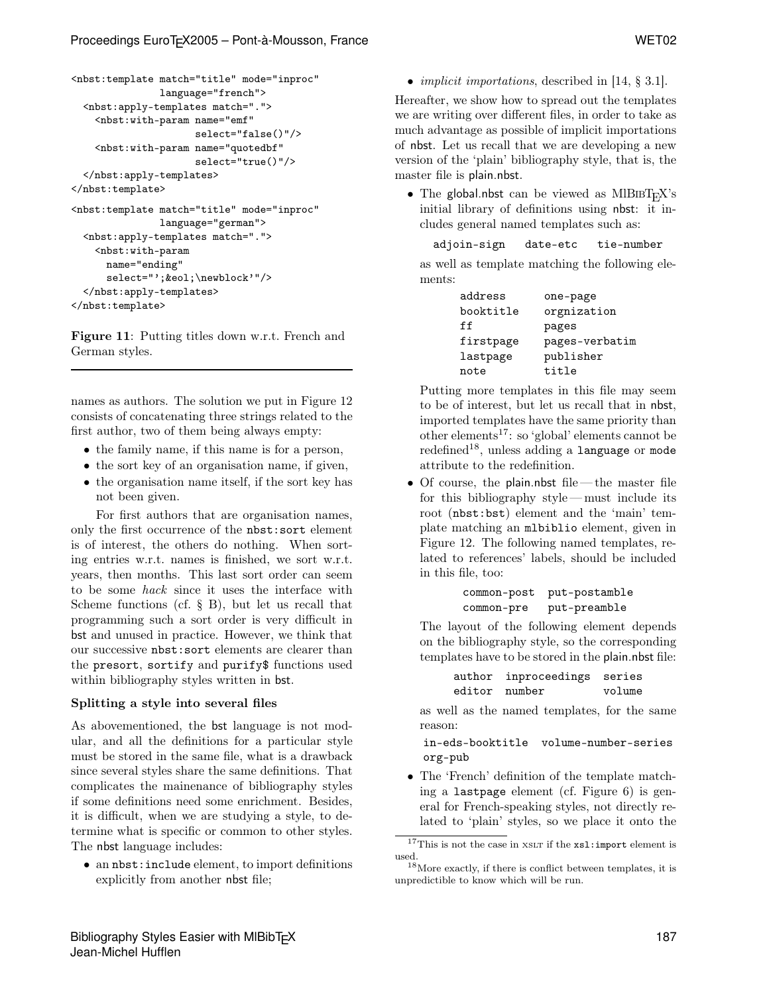```
<nbst:template match="title" mode="inproc"
               language="french">
 <nbst:apply-templates match=".">
   <nbst:with-param name="emf"
                     select="false()"/>
   <nbst:with-param name="quotedbf"
                     select="true()"/>
 </nbst:apply-templates>
</nbst:template>
<nbst:template match="title" mode="inproc"
               language="german">
 <nbst:apply-templates match=".">
   <nbst:with-param
     name="ending"
     select="';&eol;\newblock'"/>
 </nbst:apply-templates>
</nbst:template>
```
Figure 11: Putting titles down w.r.t. French and German styles.

names as authors. The solution we put in Figure 12 consists of concatenating three strings related to the first author, two of them being always empty:

- the family name, if this name is for a person,
- the sort key of an organisation name, if given,
- the organisation name itself, if the sort key has not been given.

For first authors that are organisation names, only the first occurrence of the nbst:sort element is of interest, the others do nothing. When sorting entries w.r.t. names is finished, we sort w.r.t. years, then months. This last sort order can seem to be some hack since it uses the interface with Scheme functions (cf. § B), but let us recall that programming such a sort order is very difficult in bst and unused in practice. However, we think that our successive nbst:sort elements are clearer than the presort, sortify and purify\$ functions used within bibliography styles written in bst.

### Splitting a style into several files

As abovementioned, the bst language is not modular, and all the definitions for a particular style must be stored in the same file, what is a drawback since several styles share the same definitions. That complicates the mainenance of bibliography styles if some definitions need some enrichment. Besides, it is difficult, when we are studying a style, to determine what is specific or common to other styles. The nbst language includes:

• an nbst:include element, to import definitions explicitly from another nbst file;

• *implicit importations*, described in [14, § 3.1].

Hereafter, we show how to spread out the templates we are writing over different files, in order to take as much advantage as possible of implicit importations of nbst. Let us recall that we are developing a new version of the 'plain' bibliography style, that is, the master file is plain.nbst.

• The global.nbst can be viewed as  $MIBIBT<sub>F</sub>X's$ initial library of definitions using nbst: it includes general named templates such as:

```
adjoin-sign date-etc tie-number
```
as well as template matching the following elements:

| address   | one-page       |
|-----------|----------------|
| booktitle | orgnization    |
| ff        | pages          |
| firstpage | pages-verbatim |
| lastpage  | publisher      |
| note      | title          |

Putting more templates in this file may seem to be of interest, but let us recall that in nbst, imported templates have the same priority than other elements<sup>17</sup>: so 'global' elements cannot be  $redefined<sup>18</sup>$ , unless adding a language or mode attribute to the redefinition.

 $\bullet$  Of course, the plain.nbst file — the master file for this bibliography style — must include its root (nbst:bst) element and the 'main' template matching an mlbiblio element, given in Figure 12. The following named templates, related to references' labels, should be included in this file, too:

```
common-post put-postamble
common-pre put-preamble
```
The layout of the following element depends on the bibliography style, so the corresponding templates have to be stored in the plain.nbst file:

> author inproceedings series editor number volume

as well as the named templates, for the same reason:

in-eds-booktitle volume-number-series org-pub

• The 'French' definition of the template matching a lastpage element (cf. Figure 6) is general for French-speaking styles, not directly related to 'plain' styles, so we place it onto the

 $^{17}{\rm This}$  is not the case in <code>xsLr</code> if the <code>xs1:import</code> element is used.

<sup>18</sup>More exactly, if there is conflict between templates, it is unpredictible to know which will be run.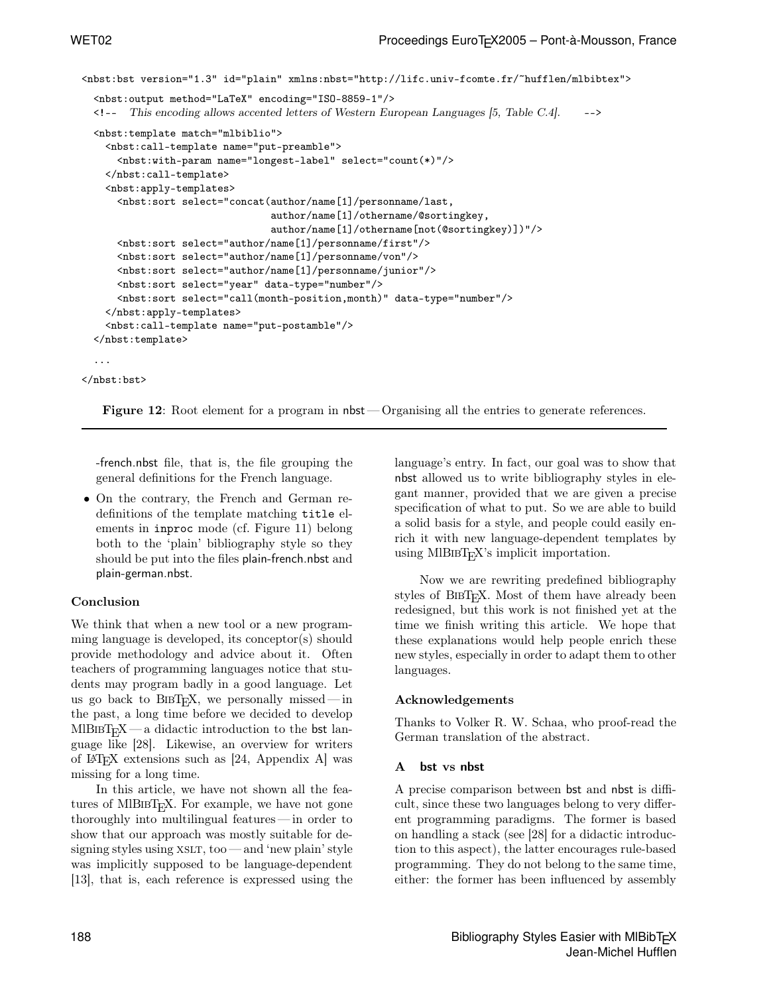```
<nbst:bst version="1.3" id="plain" xmlns:nbst="http://lifc.univ-fcomte.fr/~hufflen/mlbibtex">
 <nbst:output method="LaTeX" encoding="ISO-8859-1"/>
 <!-- This encoding allows accented letters of Western European Languages [5, Table C.4]. -->
 <nbst:template match="mlbiblio">
   <nbst:call-template name="put-preamble">
      <nbst:with-param name="longest-label" select="count(*)"/>
   </nbst:call-template>
   <nbst:apply-templates>
      <nbst:sort select="concat(author/name[1]/personname/last,
                                author/name[1]/othername/@sortingkey,
                                author/name[1]/othername[not(@sortingkey)])"/>
     <nbst:sort select="author/name[1]/personname/first"/>
      <nbst:sort select="author/name[1]/personname/von"/>
      <nbst:sort select="author/name[1]/personname/junior"/>
      <nbst:sort select="year" data-type="number"/>
      <nbst:sort select="call(month-position,month)" data-type="number"/>
   </nbst:apply-templates>
   <nbst:call-template name="put-postamble"/>
 </nbst:template>
  ...
</nbst:bst>
```
Figure 12: Root element for a program in nbst — Organising all the entries to generate references.

-french.nbst file, that is, the file grouping the general definitions for the French language.

• On the contrary, the French and German redefinitions of the template matching title elements in inproc mode (cf. Figure 11) belong both to the 'plain' bibliography style so they should be put into the files plain-french.nbst and plain-german.nbst.

## Conclusion

We think that when a new tool or a new programming language is developed, its conceptor(s) should provide methodology and advice about it. Often teachers of programming languages notice that students may program badly in a good language. Let us go back to  ${\rm BIBT_F}\!{\rm X},$  we personally missed — in the past, a long time before we decided to develop  $MIBIBT<sub>F</sub>X$  — a didactic introduction to the bst language like [28]. Likewise, an overview for writers of LATEX extensions such as [24, Appendix A] was missing for a long time.

In this article, we have not shown all the features of MIBIBT<sub>E</sub>X. For example, we have not gone thoroughly into multilingual features — in order to show that our approach was mostly suitable for designing styles using  $XSLT$ , too — and 'new plain' style was implicitly supposed to be language-dependent [13], that is, each reference is expressed using the language's entry. In fact, our goal was to show that nbst allowed us to write bibliography styles in elegant manner, provided that we are given a precise specification of what to put. So we are able to build a solid basis for a style, and people could easily enrich it with new language-dependent templates by using  $MIBIBT<sub>F</sub>X$ 's implicit importation.

Now we are rewriting predefined bibliography styles of  $BIBT_FX$ . Most of them have already been redesigned, but this work is not finished yet at the time we finish writing this article. We hope that these explanations would help people enrich these new styles, especially in order to adapt them to other languages.

## Acknowledgements

Thanks to Volker R. W. Schaa, who proof-read the German translation of the abstract.

## A bst vs nbst

A precise comparison between bst and nbst is difficult, since these two languages belong to very different programming paradigms. The former is based on handling a stack (see [28] for a didactic introduction to this aspect), the latter encourages rule-based programming. They do not belong to the same time, either: the former has been influenced by assembly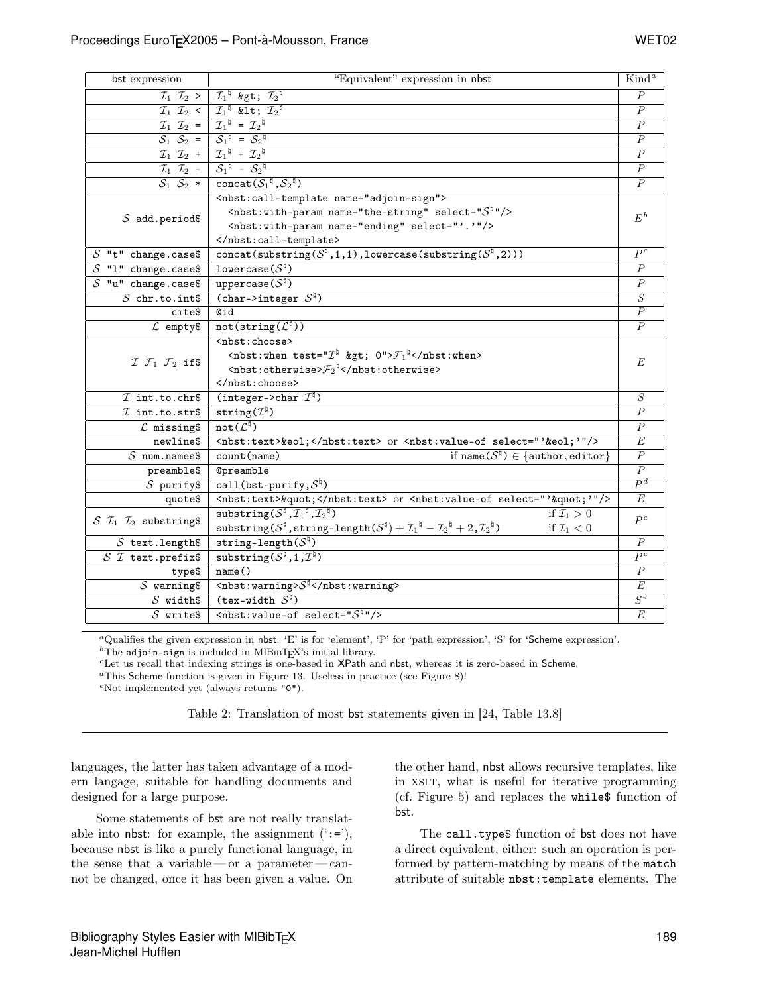| bst expression                                     | "Equivalent" expression in nbst<br>$\overline{\text{Kind}^a}$                                                                                                                                            |                                      |  |
|----------------------------------------------------|----------------------------------------------------------------------------------------------------------------------------------------------------------------------------------------------------------|--------------------------------------|--|
|                                                    | $\mathcal{I}_1$ $\mathcal{I}_2$ > $\mid \mathcal{I}_1^{\nmid}$ > $\mathcal{I}_2^{\nmid}$                                                                                                                 |                                      |  |
|                                                    | $\mathcal{I}_1$ $\mathcal{I}_2$ < $\mathcal{I}_1^{\natural}$ < $\mathcal{I}_2^{\natural}$                                                                                                                |                                      |  |
|                                                    | $\mathcal{I}_1$ $\mathcal{I}_2$ = $\mathcal{I}_1$ <sup><math>\sharp</math></sup> = $\mathcal{I}_2$ <sup><math>\sharp</math></sup>                                                                        |                                      |  |
|                                                    | $S_1$ $S_2$ = $S_1$ <sup><math>\uparrow</math></sup> = $S_2$ <sup><math>\uparrow</math></sup>                                                                                                            |                                      |  |
|                                                    | $\overline{I_1}$ $\overline{I_2}$ + $\overline{I_1}$ <sup><math>\overline{I_1}</math></sup> + $\overline{I_2}$ <sup><math>\overline{I_1}</math></sup>                                                    |                                      |  |
|                                                    | $\overline{I_1} \ \overline{I_2}$ - $S_1$ <sup>1</sup> - $S_2$ <sup>1</sup>                                                                                                                              |                                      |  |
| $S_1$ $S_2$ *                                      | concat $(S_1^{\,\natural}, S_2^{\,\natural})$                                                                                                                                                            |                                      |  |
|                                                    | <nbst:call-template name="adjoin-sign"></nbst:call-template>                                                                                                                                             | $\mathbb{E}^{\,b}$                   |  |
|                                                    | $\leq$ nbst:with-param name="the-string" select=" $S^{\frac{1}{2}n}/\geq$                                                                                                                                |                                      |  |
| $S$ add.period\$                                   | <nbst:with-param name="ending" select="'.'"></nbst:with-param>                                                                                                                                           |                                      |  |
|                                                    |                                                                                                                                                                                                          |                                      |  |
| $S$ "t" change.case\$                              | concat(substring( $S^{\natural}, 1, 1$ ), lowercase(substring( $S^{\natural}, 2$ )))                                                                                                                     |                                      |  |
| $S$ "1" change.case\$                              | lowercase $(S^{\natural})$                                                                                                                                                                               | $\cal P$                             |  |
| $\overline{S}$ "u" change.case\$                   | uppercase $(S^{\natural})$                                                                                                                                                                               | $\overline{P}$                       |  |
| $S$ chr.to.int\$                                   | (char->integer $S^{\natural}$ )                                                                                                                                                                          |                                      |  |
| cite\$                                             | <b>Cid</b>                                                                                                                                                                                               |                                      |  |
| $\mathcal{L}$ empty\$                              | $\overline{\text{not}(\text{string}(\mathcal{L}^\natural))}$                                                                                                                                             |                                      |  |
|                                                    | <nbst:choose></nbst:choose>                                                                                                                                                                              |                                      |  |
| $\mathcal{I}$ $\mathcal{F}_1$ $\mathcal{F}_2$ if\$ | <nbst:when test="&lt;math&gt;\mathcal{I}^{\natural}&lt;/math&gt; &gt; &lt;math&gt;0">\mathcal{F}_1^{\natural} </nbst:when>                                                                               |                                      |  |
|                                                    | $\langle$ nbst:otherwise> $\mathcal{F}_2^{\nmid}$ $\langle$ /nbst:otherwise>                                                                                                                             |                                      |  |
|                                                    |                                                                                                                                                                                                          |                                      |  |
| $I$ int.to.chr\$                                   | (integer->char $\mathcal{I}^{\natural}$ )                                                                                                                                                                | $\overline{S}$                       |  |
| $I$ int.to.str\$                                   | string( $\mathcal{I}^{\natural}$ )                                                                                                                                                                       | $\boldsymbol{P}$                     |  |
| $\mathcal L$ missing\$                             | $\text{not}(\mathcal{L}^\natural)$                                                                                                                                                                       | $\overline{P}$                       |  |
| newline\$                                          | <nbst:text>&amp;eol</nbst:text> or <nbst:value-of select="'&amp;eol;'"></nbst:value-of>                                                                                                                  | E                                    |  |
| $S$ num.names\$                                    | if name $(S^{\natural}) \in \{$ author, editor $\}$<br>count (name)                                                                                                                                      | $\overline{P}$                       |  |
| preamble\$                                         | Opreamble                                                                                                                                                                                                | $\overline{P}$                       |  |
| $S$ purify\$                                       | call(bst-purify, $S^{\natural}$ )                                                                                                                                                                        | P <sup>d</sup>                       |  |
| quote\$                                            | <nbst:text>"</nbst:text> or <nbst:value-of select="'&quot;'"></nbst:value-of>                                                                                                                            | E                                    |  |
| $S$ $\mathcal{I}_1$ $\mathcal{I}_2$ substring\$    | substring $(S^{\natural}, \mathcal{I}_1^{\natural}, \mathcal{I}_2^{\natural})$<br>if $\mathcal{I}_1>0$                                                                                                   | $P^c$                                |  |
|                                                    | substring( $\mathcal{S}^{\natural}$ , string-length( $\mathcal{S}^{\natural}$ ) + $\mathcal{I}_1^{\natural}$ - $\mathcal{I}_2^{\natural}$ + $2$ , $\mathcal{I}_2^{\natural}$ )<br>if $\mathcal{I}_1 < 0$ |                                      |  |
| $S$ text. length\$                                 | string-length $(S^{\natural})$                                                                                                                                                                           | $\overline{P}$<br>$\overline{P^c}$   |  |
| $S$ <i>T</i> text.prefix\$                         | substring $(S^{\natural}, 1, \mathcal{I}^{\natural})$                                                                                                                                                    |                                      |  |
| type\$                                             | name()                                                                                                                                                                                                   |                                      |  |
| $S$ warning\$                                      | $\langle$ nbst:warning> $S^{\natural}$                                                                                                                                                                   | $\boldsymbol{E}$<br>$\overline{S^e}$ |  |
| $S$ width\$                                        | $(\text{tex-vidth }\mathcal{S}^{\natural})$                                                                                                                                                              |                                      |  |
| $S$ write\$                                        | $\overline{\text{M}}$ <nbst: select="&lt;math&gt;\mathcal{S}^{\sharp}&lt;/math&gt;" value-of=""></nbst:>                                                                                                 | $\overline{E}$                       |  |

<sup>a</sup>Qualifies the given expression in nbst: 'E' is for 'element', 'P' for 'path expression', 'S' for 'Scheme expression'.<br><sup>b</sup>The adjoin-sign is included in MlBIBT<sub>F</sub>X's initial library.

 $^c$ Let us recall that indexing strings is one-based in XPath and nbst, whereas it is zero-based in Scheme.

 ${}^{d}$ This Scheme function is given in Figure 13. Useless in practice (see Figure 8)!

<sup>e</sup>Not implemented yet (always returns "0").

Table 2: Translation of most bst statements given in [24, Table 13.8]

languages, the latter has taken advantage of a modern langage, suitable for handling documents and designed for a large purpose.

Some statements of bst are not really translatable into nbst: for example, the assignment  $(':='),$ because nbst is like a purely functional language, in the sense that a variable — or a parameter— cannot be changed, once it has been given a value. On the other hand, nbst allows recursive templates, like in XSLT, what is useful for iterative programming (cf. Figure 5) and replaces the while\$ function of bst.

The call.type\$ function of bst does not have a direct equivalent, either: such an operation is performed by pattern-matching by means of the match attribute of suitable nbst:template elements. The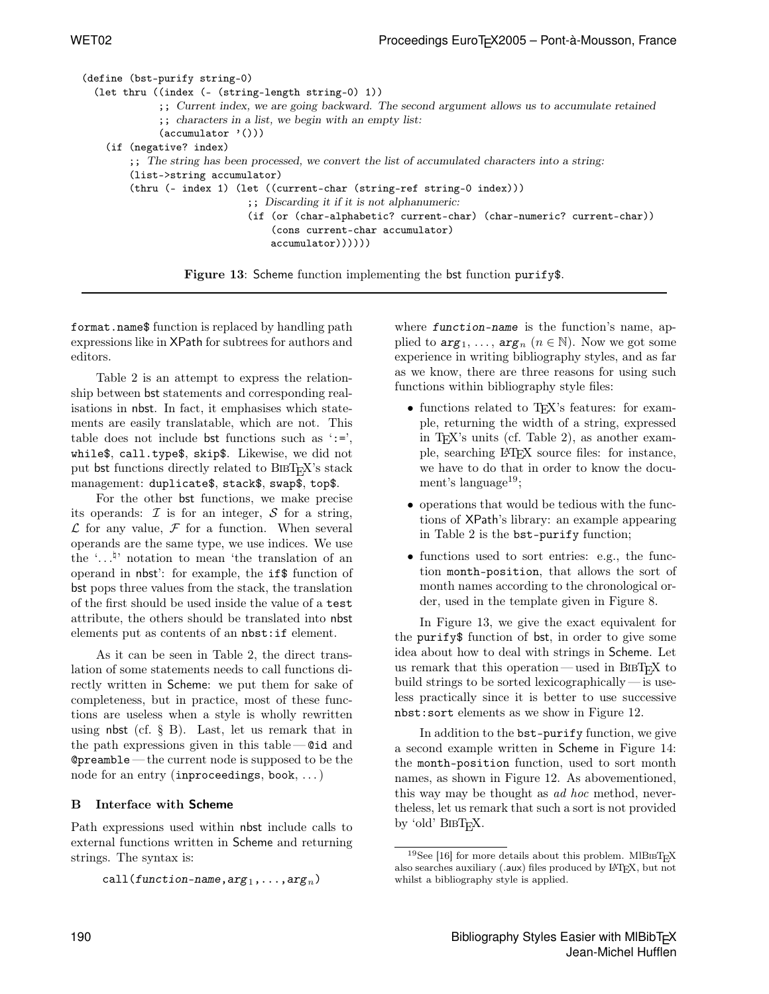| (define (bst-purify string-0)                                                                          |
|--------------------------------------------------------------------------------------------------------|
| $(\text{let thru} ((\text{index } (- \text{string-length string-0}) 1))$                               |
| ;; Current index, we are going backward. The second argument allows us to accumulate retained          |
| $\gamma$ ; characters in a list, we begin with an empty list:                                          |
| $(\text{accumulator } '())$                                                                            |
| (if (negative? index)                                                                                  |
| $\gamma$ ; The string has been processed, we convert the list of accumulated characters into a string: |
| (list->string accumulator)                                                                             |
| $(thru (- index 1) (let ((current-char (string-ref string-0 index)))$                                  |
| $\mathcal{L}$ ; Discarding it if it is not alphanumeric:                                               |
| (if (or (char-alphabetic? current-char) (char-numeric? current-char))                                  |
| (cons current-char accumulator)                                                                        |
| $\text{accumulator}$ $))))$                                                                            |
|                                                                                                        |
| <b>Figure 13:</b> Scheme function implementing the bst function purify\$.                              |

format.name\$ function is replaced by handling path expressions like in XPath for subtrees for authors and editors.

Table 2 is an attempt to express the relationship between bst statements and corresponding realisations in nbst. In fact, it emphasises which statements are easily translatable, which are not. This table does not include bst functions such as  $\cdot$ :=', while\$, call.type\$, skip\$. Likewise, we did not put bst functions directly related to  $BIBT<sub>F</sub>X$ 's stack management: duplicate\$, stack\$, swap\$, top\$.

For the other bst functions, we make precise its operands:  $\mathcal I$  is for an integer,  $\mathcal S$  for a string,  $\mathcal L$  for any value,  $\mathcal F$  for a function. When several operands are the same type, we use indices. We use the '...<sup> $\sharp$ </sup>' notation to mean 'the translation of an operand in nbst': for example, the if\$ function of bst pops three values from the stack, the translation of the first should be used inside the value of a test attribute, the others should be translated into nbst elements put as contents of an nbst:if element.

As it can be seen in Table 2, the direct translation of some statements needs to call functions directly written in Scheme: we put them for sake of completeness, but in practice, most of these functions are useless when a style is wholly rewritten using nbst (cf.  $\S$  B). Last, let us remark that in the path expressions given in this table  $\sim$  0id and @preamble— the current node is supposed to be the node for an entry (inproceedings, book, . . . )

## B Interface with Scheme

Path expressions used within nbst include calls to external functions written in Scheme and returning strings. The syntax is:

```
call(function-name, arg_1, \ldots, arg_n)
```
where **function-name** is the function's name, applied to  $\arg_1, \ldots, \arg_n (n \in \mathbb{N})$ . Now we got some experience in writing bibliography styles, and as far as we know, there are three reasons for using such functions within bibliography style files:

- functions related to TEX's features: for example, returning the width of a string, expressed in TEX's units (cf. Table 2), as another example, searching LATEX source files: for instance, we have to do that in order to know the document's language<sup>19</sup>;
- operations that would be tedious with the functions of XPath's library: an example appearing in Table 2 is the bst-purify function;
- functions used to sort entries: e.g., the function month-position, that allows the sort of month names according to the chronological order, used in the template given in Figure 8.

In Figure 13, we give the exact equivalent for the purify\$ function of bst, in order to give some idea about how to deal with strings in Scheme. Let us remark that this operation — used in  $BIBT<sub>F</sub>X$  to build strings to be sorted lexicographically— is useless practically since it is better to use successive nbst:sort elements as we show in Figure 12.

In addition to the bst-purify function, we give a second example written in Scheme in Figure 14: the month-position function, used to sort month names, as shown in Figure 12. As abovementioned, this way may be thought as ad hoc method, nevertheless, let us remark that such a sort is not provided by 'old'  $BIBT_FX$ .

<sup>&</sup>lt;sup>19</sup>See [16] for more details about this problem. MlBIBT<sub>E</sub>X also searches auxiliary (.aux) files produced by LATEX, but not whilst a bibliography style is applied.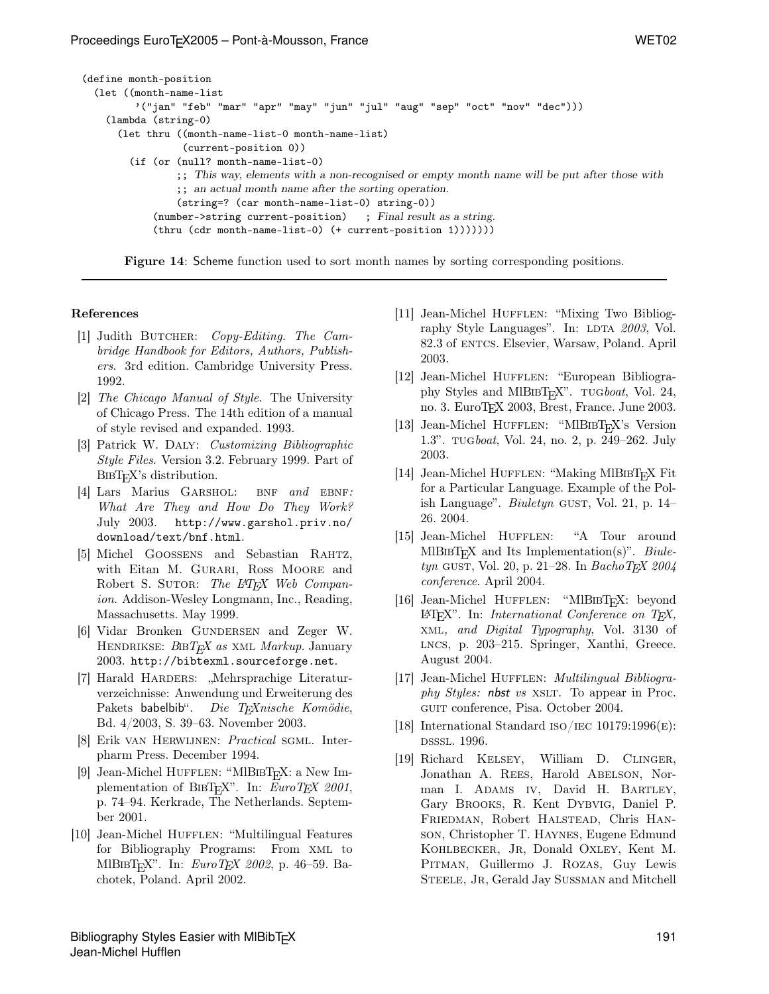```
(define month-position
  (let ((month-name-list
         '("jan" "feb" "mar" "apr" "may" "jun" "jul" "aug" "sep" "oct" "nov" "dec")))
    (lambda (string-0)
      (let thru ((month-name-list-0 month-name-list)
                 (current-position 0))
        (if (or (null? month-name-list-0)
                ;; This way, elements with a non-recognised or empty month name will be put after those with
                ;; an actual month name after the sorting operation.
                (string=? (car month-name-list-0) string-0))
            (number->string current-position) ; Final result as a string.
            (thru (cdr month-name-list-0) (+ current-position 1)))))))
```
Figure 14: Scheme function used to sort month names by sorting corresponding positions.

#### References

- [1] Judith BUTCHER: *Copy-Editing. The Cam*bridge Handbook for Editors, Authors, Publishers. 3rd edition. Cambridge University Press. 1992.
- [2] The Chicago Manual of Style. The University of Chicago Press. The 14th edition of a manual of style revised and expanded. 1993.
- [3] Patrick W. Daly: Customizing Bibliographic Style Files. Version 3.2. February 1999. Part of BIBT<sub>F</sub>X's distribution.
- [4] Lars Marius GARSHOL: BNF and EBNF: What Are They and How Do They Work? July 2003. http://www.garshol.priv.no/ download/text/bnf.html.
- [5] Michel Goossens and Sebastian Rahtz, with Eitan M. GURARI, Ross MOORE and Robert S. SUTOR: The L<sup>AT</sup>EX Web Companion. Addison-Wesley Longmann, Inc., Reading, Massachusetts. May 1999.
- [6] Vidar Bronken GUNDERSEN and Zeger W. HENDRIKSE:  $BIBT_F X$  as XML Markup. January 2003. http://bibtexml.sourceforge.net.
- [7] Harald HARDERS: "Mehrsprachige Literaturverzeichnisse: Anwendung und Erweiterung des Pakets babelbib". Die TFXnische Komödie, Bd. 4/2003, S. 39–63. November 2003.
- [8] Erik van Herwijnen: Practical sgml. Interpharm Press. December 1994.
- [9] Jean-Michel HUFFLEN: "MIBIBT<sub>F</sub>X: a New Implementation of BIBT<sub>E</sub>X". In: EuroTEX 2001, p. 74–94. Kerkrade, The Netherlands. September 2001.
- [10] Jean-Michel HUFFLEN: "Multilingual Features for Bibliography Programs: From xml to MlBIBT<sub>F</sub>X". In: *EuroTEX 2002*, p. 46–59. Bachotek, Poland. April 2002.
- [11] Jean-Michel HUFFLEN: "Mixing Two Bibliography Style Languages". In: LDTA  $2003$ , Vol. 82.3 of entcs. Elsevier, Warsaw, Poland. April 2003.
- [12] Jean-Michel Hufflen: "European Bibliography Styles and MlBIBT<sub>E</sub>X". TUGboat, Vol. 24, no. 3. EuroTEX 2003, Brest, France. June 2003.
- [13] Jean-Michel HUFFLEN: "MIBIBT<sub>E</sub>X's Version 1.3". tugboat, Vol. 24, no. 2, p. 249–262. July 2003.
- [14] Jean-Michel HUFFLEN: "Making MlBIBT<sub>E</sub>X Fit for a Particular Language. Example of the Polish Language". Biuletyn GUST, Vol. 21, p.  $14-$ 26. 2004.
- [15] Jean-Michel HUFFLEN: "A Tour around MlBIBT<sub>E</sub>X and Its Implementation(s)". Biuletyn GUST, Vol. 20, p. 21–28. In BachoTEX 2004 conference. April 2004.
- [16] Jean-Michel HUFFLEN: "MlBIBT<sub>F</sub>X: beyond LATEX". In: International Conference on TEX, xml, and Digital Typography, Vol. 3130 of lncs, p. 203–215. Springer, Xanthi, Greece. August 2004.
- [17] Jean-Michel HUFFLEN: *Multilingual Bibliogra*phy Styles: nbst vs XSLT. To appear in Proc. guit conference, Pisa. October 2004.
- [18] International Standard ISO/IEC 10179:1996 $(E)$ : dsssl. 1996.
- [19] Richard Kelsey, William D. Clinger, Jonathan A. REES, Harold ABELSON, Norman I. ADAMS IV, David H. BARTLEY, Gary Brooks, R. Kent Dybvig, Daniel P. Friedman, Robert Halstead, Chris Hanson, Christopher T. Haynes, Eugene Edmund KOHLBECKER, JR, Donald OXLEY, Kent M. PITMAN, Guillermo J. ROZAS, Guy Lewis STEELE, JR, Gerald Jay SUSSMAN and Mitchell